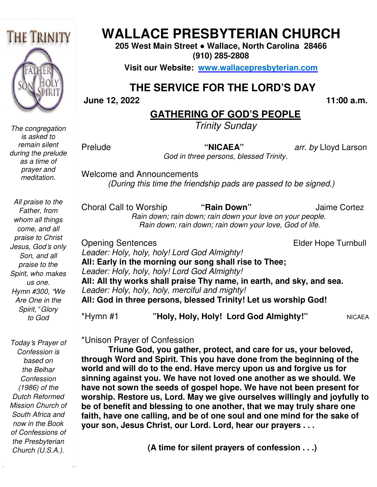

*The congregation is asked to remain silent during the prelude as a time of prayer and meditation.* 

*All praise to the Father, from whom all things come, and all praise to Christ Jesus, God*'*s only Son, and all praise to the Spirit, who makes us one. Hymn #300,* "*We Are One in the Spirit,*" *Glory to God* 

 *now in the Book Today*'*s Prayer of Confession is based on the Belhar Confession (1986) of the Dutch Reformed Mission Church of South Africa and of Confessions of the Presbyterian Church (U.S.A.).* 

# **WALLACE PRESBYTERIAN CHURCH WALLACE PRESBYTERIAN CHURCH**

**205 West Main Street Street ● Wallace, North Carolina 28466 (910) 285-2808** 

**Visit our Website: www.wallacepresbyterian.com**

# **THE SERVICE FOR THE LORD'S DAY** **THE SERVICE**

 **June 12, 2022** 

 **11:00 a.m.**

### **GATHERING OF GOD'S PEOPLE**

*Trinity Sunday* 

Prelude

 **"NICAEA"** *arr. by* Lloyd Larso

God in three persons, blessed Trinity.

Welcome and Announcements and Announcements *(During this time the friendship pads are passed to be signed.)*

Choral Call to Worship  *Rain down; rain down; rain down your love on your Rain down; people. Rain down; rain down; rain down your love, God of life. rain down;* **"Rain Down"** Jaime Cortez

Opening Sentences *Leader: Holy, holy, holy! Lord God Almighty!* **All: Early in the morning morning our song shall rise to Thee;**  *Leader: Holy, holy, holy! Lord God Almighty!* **All: All thy works shall praise Thy name, in earth, and sky, and sea. .***Leader: Holy, holy, holy, merciful and mighty!* **All: God in three persons, persons, blessed Trinity! Let us worship God!** \*Hymn #1 **"Holy, Holy, Holy! Lord G Holy, God Almighty!"**  Elder Hope Turnbull  NICAEA

\*Unison Prayer of Confession

**Triune God, you gather, protect, and care for us, your beloved, through Word and Spirit. ou Spirit. This you have done from the beginning of the**  world and will do to the end. Have mercy upon us and forgive us for sinning against you. We have not loved one another as we should. We **have not sown the seeds of gospel hope. We have not been present for**  sinning against you. We have not loved one another as we should. We<br>have not sown the seeds of gospel hope. We have not been present for<br>worship. Restore us, Lord. May we give ourselves willingly and joyfully to be of benefit and blessing to one another, that we may truly share one be of benefit and blessing to one another, that we may truly share one<br>faith, have one calling, and be of one soul and one mind for the sake of **your son, Jesus Christ, our Lord. Lord, hear our prayers . . . for the Solution Control Control Control Control Control Control Control Control Control Control Control Control Control Control Control Control Control Control Control Control Control Control Control Control Control Cont** 

**(A time for silent prayers of confession . . .)**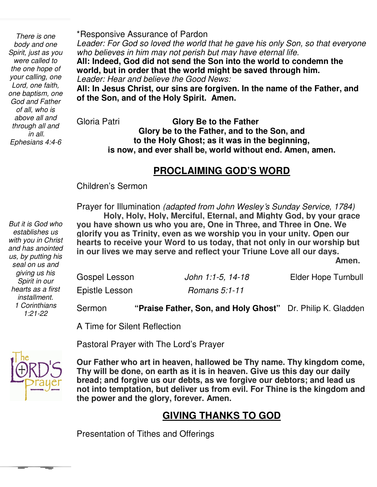*Ephesians 4:4-6 one baptism, one There is one body and one Spirit, just as you were called to the one hope of your calling, one Lord, one faith, God and Father of all, who is above all and through all and in all.* 

 *But it is God who* 

*establishes us with you in Christ and has anointed us, by putting his seal on us and giving us his Spirit in our hearts as a first installment. 1 Corinthians 1:21-22* 

\*Responsive Assurance of Pardon

Leader: For God so loved the world that he gave his only Son, so that everyone *who believes in him may not perish but may have eternal life.* 

**All: Indeed, God did not send the Son into the world to condemn the world, but in order that the world might be saved through him.** *Leader: Hear and believe the Good News:*

**All: In Jesus Christ, our sins are forgiven. In the name of the Father, and of the Son, and of the Holy Spirit. Amen.**

Gloria Patri **Glory Be to the Father Glory be to the Father, and to the Son, and to the Holy Ghost; as it was in the beginning, is now, and ever shall be, world without end. Amen, amen.** 

### **PROCLAIMING GOD'S WORD**

Children's Sermon

 Prayer for Illumination *(adapted from John Wesley*'*s Sunday Service, 1784)*  **Holy, Holy, Holy, Merciful, Eternal, and Mighty God, by your grace you have shown us who you are, One in Three, and Three in One. We glorify you as Trinity, even as we worship you in your unity. Open our hearts to receive your Word to us today, that not only in our worship but in our lives we may serve and reflect your Triune Love all our days.**  *Amen.* **Amen.** 

| Gospel Lesson  | John 1:1-5, 14-18 | Elder Hope Turnbull |
|----------------|-------------------|---------------------|
| Epistle Lesson | Romans 5:1-11     |                     |

Sermon **"Praise Father, Son, and Holy Ghost"** Dr. Philip K. Gladden

A Time for Silent Reflection

Pastoral Prayer with The Lord's Prayer



 **Thy will be done, on earth as it is in heaven. Give us this day our daily Our Father who art in heaven, hallowed be Thy name. Thy kingdom come, bread; and forgive us our debts, as we forgive our debtors; and lead us not into temptation, but deliver us from evil. For Thine is the kingdom and the power and the glory, forever. Amen.** 

### **GIVING THANKS TO GOD**

Presentation of Tithes and Offerings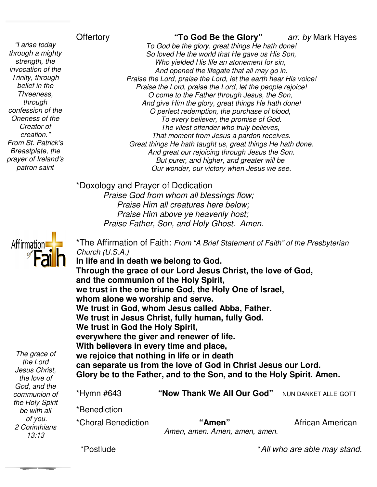### **Offertory**

 *invocation of the "I arise today through a mighty strength, the Trinity, through belief in the Threeness, through confession of the Oneness of the Creator of creation." From St. Patrick's Breastplate, the prayer of Ireland's patron saint* 

arr. by Mark Hayes

To God be the glory, great things He hath done! *So loved He the world t that He gave us His Son, Who yielded His life an atonement for sin, an sin, And opened the lifegate that all may go in. Praise the Lord, praise the Lord, let the earth hear His voice! Praise the Lord, praise the Lord, let the people rejoice! O come to the Father t And give Him the glory, great things He hath done! O perfect redemption, the purchase of blood, blood, To every believer, the promise of God. The vilest offender who truly believes, believes, That moment from Jesus a pardon receives. Great things He hath taught us, great things He hath done. And great our rejoicing through Jesus the Son. But purer, and higher, and greater will be Our wonder, our victory when Jesus we see.* Offertory<br> **19 Codd Be the Glory**<br> *To God be the glory, great things He hath done!<br>
So loved He the world that He gave us His Son,<br>
Who yielded His life an atonement for sin,<br>
And opened the lifegate that all may go in. nd opened the lifegate that all may go in.<br>Lord, praise the Lord, let the earth hear His<br>he Lord, praise the Lord, let the people rejo<br>ome to the Father through Jesus, the Son, He hath taught us, great things He ha<br>eat our rejoicing through Jesus the Sd<br>ourer, and higher, and greater will be* 

\*Doxology and Prayer of Dedication

*Praise God from whom all blessings flow; Praise Him all creatures here below; Praise Him above ye heavenly host; Praise God from whom all blessings flow;<br>Praise Him all creatures here below;<br>Praise Him above ye heavenly host;<br>Praise Father, Son, and Holy Ghost. Amen.* 



| Affirmation:<br>The grace of<br>the Lord<br>Jesus Christ, | *The Affirmation of Faith: From "A Brief Statement of Faith" of the Presbyterian<br>Church $(U.S.A.)$<br>In life and in death we belong to God.<br>Through the grace of our Lord Jesus Christ, the love of God,<br>and the communion of the Holy Spirit,<br>we trust in the one triune God, the Holy One of Israel,<br>whom alone we worship and serve.<br>We trust in God, whom Jesus called Abba, Father.<br>We trust in Jesus Christ, fully human, fully God.<br>We trust in God the Holy Spirit,<br>everywhere the giver and renewer of life.<br>With believers in every time and place,<br>we rejoice that nothing in life or in death<br>can separate us from the love of God in Christ Jesus our Lord.<br>Glory be to the Father, and to the Son, and to the Holy Spirit. Amen. |                                         |                      |  |
|-----------------------------------------------------------|----------------------------------------------------------------------------------------------------------------------------------------------------------------------------------------------------------------------------------------------------------------------------------------------------------------------------------------------------------------------------------------------------------------------------------------------------------------------------------------------------------------------------------------------------------------------------------------------------------------------------------------------------------------------------------------------------------------------------------------------------------------------------------------|-----------------------------------------|----------------------|--|
| the love of<br>God, and the                               |                                                                                                                                                                                                                                                                                                                                                                                                                                                                                                                                                                                                                                                                                                                                                                                        |                                         |                      |  |
| communion of                                              | *Hymn #643                                                                                                                                                                                                                                                                                                                                                                                                                                                                                                                                                                                                                                                                                                                                                                             | "Now Thank We All Our God"              | NUN DANKET ALLE GOTT |  |
| the Holy Spirit<br>be with all                            | *Benediction                                                                                                                                                                                                                                                                                                                                                                                                                                                                                                                                                                                                                                                                                                                                                                           |                                         |                      |  |
| of you.<br>2 Corinthians<br>13:13                         | *Choral Benediction                                                                                                                                                                                                                                                                                                                                                                                                                                                                                                                                                                                                                                                                                                                                                                    | "Amen"<br>Amen, amen. Amen, amen, amen. | African American     |  |

\*Postlude

*\*All who are able may stand.*